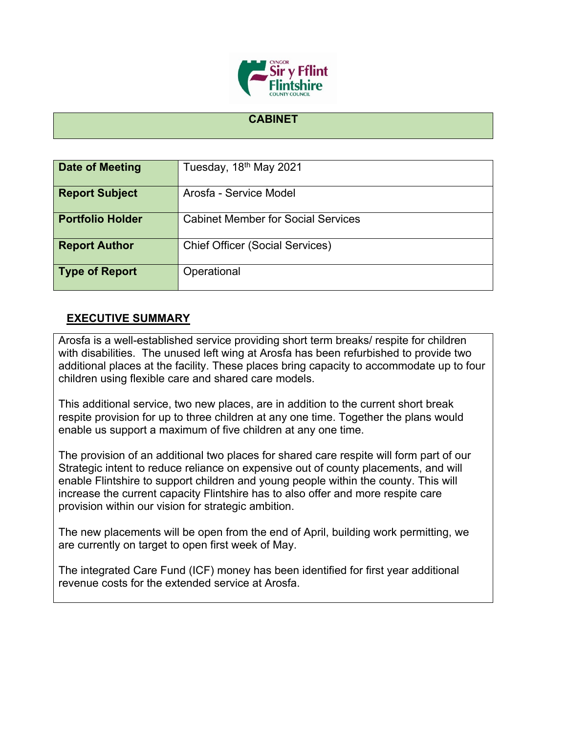

## **CABINET**

| <b>Date of Meeting</b>  | Tuesday, 18 <sup>th</sup> May 2021        |
|-------------------------|-------------------------------------------|
| <b>Report Subject</b>   | Arosfa - Service Model                    |
| <b>Portfolio Holder</b> | <b>Cabinet Member for Social Services</b> |
| <b>Report Author</b>    | <b>Chief Officer (Social Services)</b>    |
| <b>Type of Report</b>   | Operational                               |

## **EXECUTIVE SUMMARY**

Arosfa is a well-established service providing short term breaks/ respite for children with disabilities. The unused left wing at Arosfa has been refurbished to provide two additional places at the facility. These places bring capacity to accommodate up to four children using flexible care and shared care models.

This additional service, two new places, are in addition to the current short break respite provision for up to three children at any one time. Together the plans would enable us support a maximum of five children at any one time.

The provision of an additional two places for shared care respite will form part of our Strategic intent to reduce reliance on expensive out of county placements, and will enable Flintshire to support children and young people within the county. This will increase the current capacity Flintshire has to also offer and more respite care provision within our vision for strategic ambition.

The new placements will be open from the end of April, building work permitting, we are currently on target to open first week of May.

The integrated Care Fund (ICF) money has been identified for first year additional revenue costs for the extended service at Arosfa.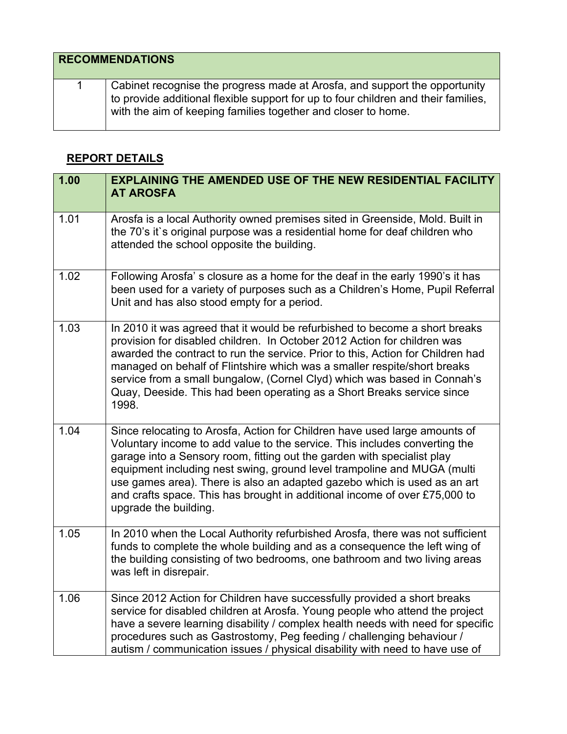| <b>RECOMMENDATIONS</b> |                                                                                                                                                                                                                                   |
|------------------------|-----------------------------------------------------------------------------------------------------------------------------------------------------------------------------------------------------------------------------------|
|                        | Cabinet recognise the progress made at Arosfa, and support the opportunity<br>to provide additional flexible support for up to four children and their families,<br>with the aim of keeping families together and closer to home. |

## **REPORT DETAILS**

| 1.00 | <b>EXPLAINING THE AMENDED USE OF THE NEW RESIDENTIAL FACILITY</b><br><b>AT AROSFA</b>                                                                                                                                                                                                                                                                                                                                                                                                             |
|------|---------------------------------------------------------------------------------------------------------------------------------------------------------------------------------------------------------------------------------------------------------------------------------------------------------------------------------------------------------------------------------------------------------------------------------------------------------------------------------------------------|
| 1.01 | Arosfa is a local Authority owned premises sited in Greenside, Mold. Built in<br>the 70's it's original purpose was a residential home for deaf children who<br>attended the school opposite the building.                                                                                                                                                                                                                                                                                        |
| 1.02 | Following Arosfa's closure as a home for the deaf in the early 1990's it has<br>been used for a variety of purposes such as a Children's Home, Pupil Referral<br>Unit and has also stood empty for a period.                                                                                                                                                                                                                                                                                      |
| 1.03 | In 2010 it was agreed that it would be refurbished to become a short breaks<br>provision for disabled children. In October 2012 Action for children was<br>awarded the contract to run the service. Prior to this, Action for Children had<br>managed on behalf of Flintshire which was a smaller respite/short breaks<br>service from a small bungalow, (Cornel Clyd) which was based in Connah's<br>Quay, Deeside. This had been operating as a Short Breaks service since<br>1998.             |
| 1.04 | Since relocating to Arosfa, Action for Children have used large amounts of<br>Voluntary income to add value to the service. This includes converting the<br>garage into a Sensory room, fitting out the garden with specialist play<br>equipment including nest swing, ground level trampoline and MUGA (multi<br>use games area). There is also an adapted gazebo which is used as an art<br>and crafts space. This has brought in additional income of over £75,000 to<br>upgrade the building. |
| 1.05 | In 2010 when the Local Authority refurbished Arosfa, there was not sufficient<br>funds to complete the whole building and as a consequence the left wing of<br>the building consisting of two bedrooms, one bathroom and two living areas<br>was left in disrepair.                                                                                                                                                                                                                               |
| 1.06 | Since 2012 Action for Children have successfully provided a short breaks<br>service for disabled children at Arosfa. Young people who attend the project<br>have a severe learning disability / complex health needs with need for specific<br>procedures such as Gastrostomy, Peg feeding / challenging behaviour /<br>autism / communication issues / physical disability with need to have use of                                                                                              |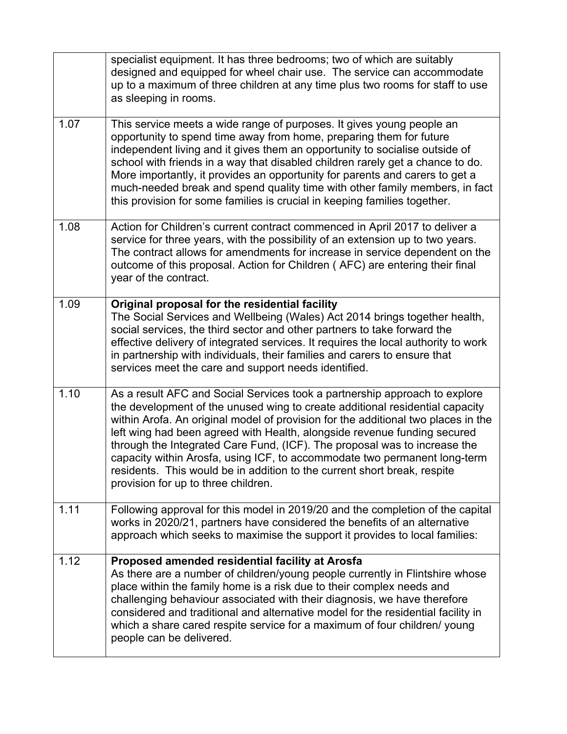|      | specialist equipment. It has three bedrooms; two of which are suitably<br>designed and equipped for wheel chair use. The service can accommodate<br>up to a maximum of three children at any time plus two rooms for staff to use<br>as sleeping in rooms.                                                                                                                                                                                                                                                                                                                                               |
|------|----------------------------------------------------------------------------------------------------------------------------------------------------------------------------------------------------------------------------------------------------------------------------------------------------------------------------------------------------------------------------------------------------------------------------------------------------------------------------------------------------------------------------------------------------------------------------------------------------------|
| 1.07 | This service meets a wide range of purposes. It gives young people an<br>opportunity to spend time away from home, preparing them for future<br>independent living and it gives them an opportunity to socialise outside of<br>school with friends in a way that disabled children rarely get a chance to do.<br>More importantly, it provides an opportunity for parents and carers to get a<br>much-needed break and spend quality time with other family members, in fact<br>this provision for some families is crucial in keeping families together.                                                |
| 1.08 | Action for Children's current contract commenced in April 2017 to deliver a<br>service for three years, with the possibility of an extension up to two years.<br>The contract allows for amendments for increase in service dependent on the<br>outcome of this proposal. Action for Children (AFC) are entering their final<br>year of the contract.                                                                                                                                                                                                                                                    |
| 1.09 | Original proposal for the residential facility<br>The Social Services and Wellbeing (Wales) Act 2014 brings together health,<br>social services, the third sector and other partners to take forward the<br>effective delivery of integrated services. It requires the local authority to work<br>in partnership with individuals, their families and carers to ensure that<br>services meet the care and support needs identified.                                                                                                                                                                      |
| 1.10 | As a result AFC and Social Services took a partnership approach to explore<br>the development of the unused wing to create additional residential capacity<br>within Arofa. An original model of provision for the additional two places in the<br>left wing had been agreed with Health, alongside revenue funding secured<br>through the Integrated Care Fund, (ICF). The proposal was to increase the<br>capacity within Arosfa, using ICF, to accommodate two permanent long-term<br>residents. This would be in addition to the current short break, respite<br>provision for up to three children. |
| 1.11 | Following approval for this model in 2019/20 and the completion of the capital<br>works in 2020/21, partners have considered the benefits of an alternative<br>approach which seeks to maximise the support it provides to local families:                                                                                                                                                                                                                                                                                                                                                               |
| 1.12 | Proposed amended residential facility at Arosfa<br>As there are a number of children/young people currently in Flintshire whose<br>place within the family home is a risk due to their complex needs and<br>challenging behaviour associated with their diagnosis, we have therefore<br>considered and traditional and alternative model for the residential facility in<br>which a share cared respite service for a maximum of four children/ young<br>people can be delivered.                                                                                                                        |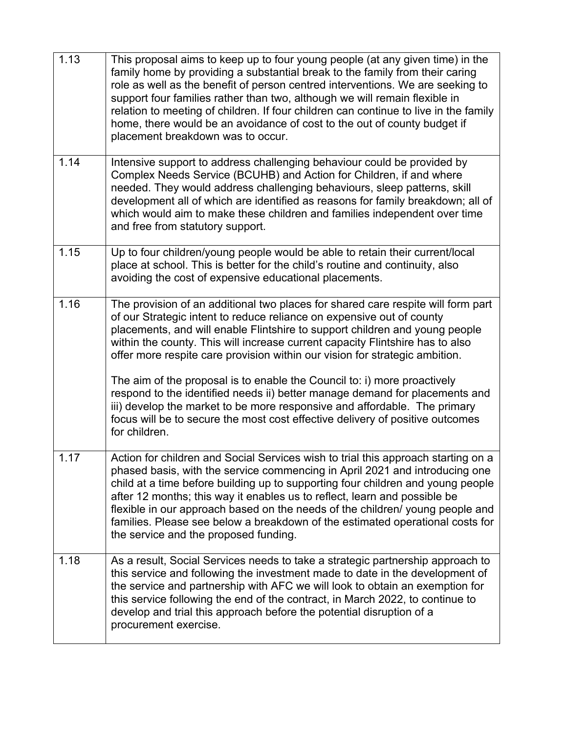| 1.13 | This proposal aims to keep up to four young people (at any given time) in the<br>family home by providing a substantial break to the family from their caring<br>role as well as the benefit of person centred interventions. We are seeking to<br>support four families rather than two, although we will remain flexible in<br>relation to meeting of children. If four children can continue to live in the family<br>home, there would be an avoidance of cost to the out of county budget if<br>placement breakdown was to occur.                                                                                                                                                                                                             |
|------|----------------------------------------------------------------------------------------------------------------------------------------------------------------------------------------------------------------------------------------------------------------------------------------------------------------------------------------------------------------------------------------------------------------------------------------------------------------------------------------------------------------------------------------------------------------------------------------------------------------------------------------------------------------------------------------------------------------------------------------------------|
| 1.14 | Intensive support to address challenging behaviour could be provided by<br>Complex Needs Service (BCUHB) and Action for Children, if and where<br>needed. They would address challenging behaviours, sleep patterns, skill<br>development all of which are identified as reasons for family breakdown; all of<br>which would aim to make these children and families independent over time<br>and free from statutory support.                                                                                                                                                                                                                                                                                                                     |
| 1.15 | Up to four children/young people would be able to retain their current/local<br>place at school. This is better for the child's routine and continuity, also<br>avoiding the cost of expensive educational placements.                                                                                                                                                                                                                                                                                                                                                                                                                                                                                                                             |
| 1.16 | The provision of an additional two places for shared care respite will form part<br>of our Strategic intent to reduce reliance on expensive out of county<br>placements, and will enable Flintshire to support children and young people<br>within the county. This will increase current capacity Flintshire has to also<br>offer more respite care provision within our vision for strategic ambition.<br>The aim of the proposal is to enable the Council to: i) more proactively<br>respond to the identified needs ii) better manage demand for placements and<br>iii) develop the market to be more responsive and affordable. The primary<br>focus will be to secure the most cost effective delivery of positive outcomes<br>for children. |
| 1.17 | Action for children and Social Services wish to trial this approach starting on a<br>phased basis, with the service commencing in April 2021 and introducing one<br>child at a time before building up to supporting four children and young people<br>after 12 months; this way it enables us to reflect, learn and possible be<br>flexible in our approach based on the needs of the children/ young people and<br>families. Please see below a breakdown of the estimated operational costs for<br>the service and the proposed funding.                                                                                                                                                                                                        |
| 1.18 | As a result, Social Services needs to take a strategic partnership approach to<br>this service and following the investment made to date in the development of<br>the service and partnership with AFC we will look to obtain an exemption for<br>this service following the end of the contract, in March 2022, to continue to<br>develop and trial this approach before the potential disruption of a<br>procurement exercise.                                                                                                                                                                                                                                                                                                                   |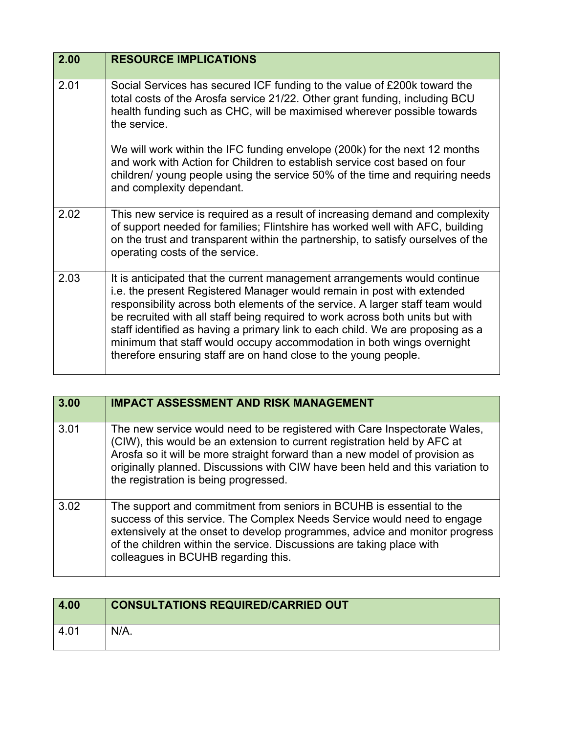| 2.00 | <b>RESOURCE IMPLICATIONS</b>                                                                                                                                                                                                                                                                                                                                                                                                                                                                                                                        |
|------|-----------------------------------------------------------------------------------------------------------------------------------------------------------------------------------------------------------------------------------------------------------------------------------------------------------------------------------------------------------------------------------------------------------------------------------------------------------------------------------------------------------------------------------------------------|
| 2.01 | Social Services has secured ICF funding to the value of £200k toward the<br>total costs of the Arosfa service 21/22. Other grant funding, including BCU<br>health funding such as CHC, will be maximised wherever possible towards<br>the service.                                                                                                                                                                                                                                                                                                  |
|      | We will work within the IFC funding envelope (200k) for the next 12 months<br>and work with Action for Children to establish service cost based on four<br>children/ young people using the service 50% of the time and requiring needs<br>and complexity dependant.                                                                                                                                                                                                                                                                                |
| 2.02 | This new service is required as a result of increasing demand and complexity<br>of support needed for families; Flintshire has worked well with AFC, building<br>on the trust and transparent within the partnership, to satisfy ourselves of the<br>operating costs of the service.                                                                                                                                                                                                                                                                |
| 2.03 | It is anticipated that the current management arrangements would continue<br>i.e. the present Registered Manager would remain in post with extended<br>responsibility across both elements of the service. A larger staff team would<br>be recruited with all staff being required to work across both units but with<br>staff identified as having a primary link to each child. We are proposing as a<br>minimum that staff would occupy accommodation in both wings overnight<br>therefore ensuring staff are on hand close to the young people. |

| 3.00 | <b>IMPACT ASSESSMENT AND RISK MANAGEMENT</b>                                                                                                                                                                                                                                                                                                                   |
|------|----------------------------------------------------------------------------------------------------------------------------------------------------------------------------------------------------------------------------------------------------------------------------------------------------------------------------------------------------------------|
| 3.01 | The new service would need to be registered with Care Inspectorate Wales,<br>(CIW), this would be an extension to current registration held by AFC at<br>Arosfa so it will be more straight forward than a new model of provision as<br>originally planned. Discussions with CIW have been held and this variation to<br>the registration is being progressed. |
| 3.02 | The support and commitment from seniors in BCUHB is essential to the<br>success of this service. The Complex Needs Service would need to engage<br>extensively at the onset to develop programmes, advice and monitor progress<br>of the children within the service. Discussions are taking place with<br>colleagues in BCUHB regarding this.                 |

| 4.00 | <b>CONSULTATIONS REQUIRED/CARRIED OUT</b> |
|------|-------------------------------------------|
| 4.01 | $N/A$ .                                   |